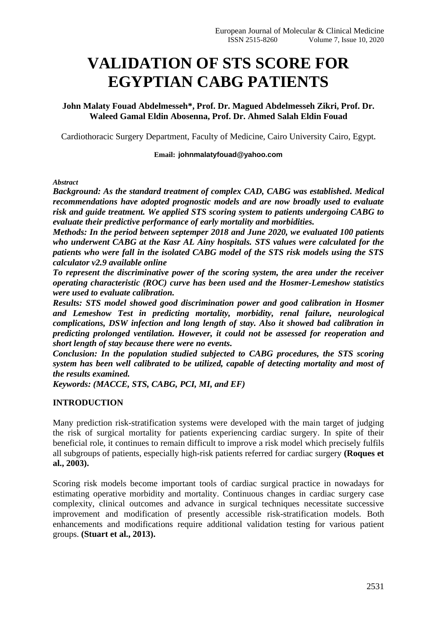# **VALIDATION OF STS SCORE FOR EGYPTIAN CABG PATIENTS**

**John Malaty Fouad Abdelmesseh\*, Prof. Dr. Magued Abdelmesseh Zikri, Prof. Dr. Waleed Gamal Eldin Abosenna, Prof. Dr. Ahmed Salah Eldin Fouad**

Cardiothoracic Surgery Department, Faculty of Medicine, Cairo University Cairo, Egypt**.**

## **Email: johnmalatyfouad@yahoo.com**

*Abstract*

*Background: As the standard treatment of complex CAD, CABG was established. Medical recommendations have adopted prognostic models and are now broadly used to evaluate risk and guide treatment. We applied STS scoring system to patients undergoing CABG to evaluate their predictive performance of early mortality and morbidities.*

*Methods: In the period between septemper 2018 and June 2020, we evaluated 100 patients who underwent CABG at the Kasr AL Ainy hospitals. STS values were calculated for the patients who were fall in the isolated CABG model of the STS risk models using the STS calculator v2.9 available online*

*To represent the discriminative power of the scoring system, the area under the receiver operating characteristic (ROC) curve has been used and the Hosmer-Lemeshow statistics were used to evaluate calibration.*

*Results: STS model showed good discrimination power and good calibration in Hosmer and Lemeshow Test in predicting mortality, morbidity, renal failure, neurological complications, DSW infection and long length of stay. Also it showed bad calibration in predicting prolonged ventilation. However, it could not be assessed for reoperation and short length of stay because there were no events.*

*Conclusion: In the population studied subjected to CABG procedures, the STS scoring system has been well calibrated to be utilized, capable of detecting mortality and most of the results examined.*

*Keywords: (MACCE, STS, CABG, PCI, MI, and EF)*

# **INTRODUCTION**

Many prediction risk-stratification systems were developed with the main target of judging the risk of surgical mortality for patients experiencing cardiac surgery. In spite of their beneficial role, it continues to remain difficult to improve a risk model which precisely fulfils all subgroups of patients, especially high-risk patients referred for cardiac surgery **(Roques et al., 2003).**

Scoring risk models become important tools of cardiac surgical practice in nowadays for estimating operative morbidity and mortality. Continuous changes in cardiac surgery case complexity, clinical outcomes and advance in surgical techniques necessitate successive improvement and modification of presently accessible risk-stratification models. Both enhancements and modifications require additional validation testing for various patient groups. **(Stuart et al., 2013).**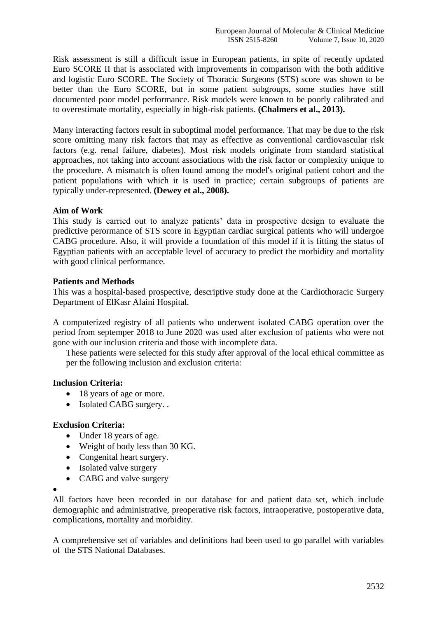Risk assessment is still a difficult issue in European patients, in spite of recently updated Euro SCORE II that is associated with improvements in comparison with the both additive and logistic Euro SCORE. The Society of Thoracic Surgeons (STS) score was shown to be better than the Euro SCORE, but in some patient subgroups, some studies have still documented poor model performance. Risk models were known to be poorly calibrated and to overestimate mortality, especially in high-risk patients. **(Chalmers et al., 2013).**

Many interacting factors result in suboptimal model performance. That may be due to the risk score omitting many risk factors that may as effective as conventional cardiovascular risk factors (e.g. renal failure, diabetes). Most risk models originate from standard statistical approaches, not taking into account associations with the risk factor or complexity unique to the procedure. A mismatch is often found among the model's original patient cohort and the patient populations with which it is used in practice; certain subgroups of patients are typically under-represented. **(Dewey et al., 2008).**

# **Aim of Work**

This study is carried out to analyze patients' data in prospective design to evaluate the predictive perormance of STS score in Egyptian cardiac surgical patients who will undergoe CABG procedure. Also, it will provide a foundation of this model if it is fitting the status of Egyptian patients with an acceptable level of accuracy to predict the morbidity and mortality with good clinical performance.

# **Patients and Methods**

This was a hospital-based prospective, descriptive study done at the Cardiothoracic Surgery Department of ElKasr Alaini Hospital.

A computerized registry of all patients who underwent isolated CABG operation over the period from septemper 2018 to June 2020 was used after exclusion of patients who were not gone with our inclusion criteria and those with incomplete data.

These patients were selected for this study after approval of the local ethical committee as per the following inclusion and exclusion criteria:

# **Inclusion Criteria:**

- 18 years of age or more.
- Isolated CABG surgery...

## **Exclusion Criteria:**

- Under 18 years of age.
- Weight of body less than 30 KG.
- Congenital heart surgery.
- Isolated valve surgery
- CABG and valve surgery

•

All factors have been recorded in our database for and patient data set, which include demographic and administrative, preoperative risk factors, intraoperative, postoperative data, complications, mortality and morbidity.

A comprehensive set of variables and definitions had been used to go parallel with variables of the STS National Databases.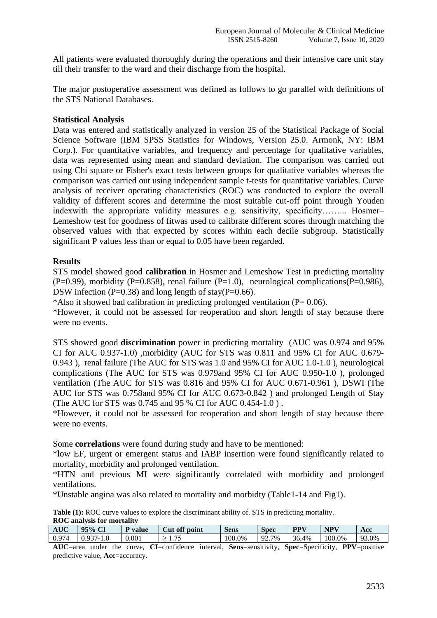All patients were evaluated thoroughly during the operations and their intensive care unit stay till their transfer to the ward and their discharge from the hospital.

The major postoperative assessment was defined as follows to go parallel with definitions of the STS National Databases.

## **Statistical Analysis**

Data was entered and statistically analyzed in version 25 of the Statistical Package of Social Science Software (IBM SPSS Statistics for Windows, Version 25.0. Armonk, NY: IBM Corp.). For quantitative variables, and frequency and percentage for qualitative variables, data was represented using mean and standard deviation. The comparison was carried out using Chi square or Fisher's exact tests between groups for qualitative variables whereas the comparison was carried out using independent sample t-tests for quantitative variables. Curve analysis of receiver operating characteristics (ROC) was conducted to explore the overall validity of different scores and determine the most suitable cut-off point through Youden indexwith the appropriate validity measures e.g. sensitivity, specificity……... Hosmer– Lemeshow test for goodness of fitwas used to calibrate different scores through matching the observed values with that expected by scores within each decile subgroup. Statistically significant P values less than or equal to 0.05 have been regarded.

## **Results**

STS model showed good **calibration** in Hosmer and Lemeshow Test in predicting mortality  $(P=0.99)$ , morbidity  $(P=0.858)$ , renal failure  $(P=1.0)$ , neurological complications $(P=0.986)$ , DSW infection (P=0.38) and long length of stay(P=0.66).

\*Also it showed bad calibration in predicting prolonged ventilation ( $P= 0.06$ ).

\*However, it could not be assessed for reoperation and short length of stay because there were no events.

STS showed good **discrimination** power in predicting mortality (AUC was 0.974 and 95% CI for AUC 0.937-1.0) ,morbidity (AUC for STS was 0.811 and 95% CI for AUC 0.679- 0.943 ), renal failure (The AUC for STS was 1.0 and 95% CI for AUC 1.0-1.0 ), neurological complications (The AUC for STS was 0.979and 95% CI for AUC 0.950-1.0 ), prolonged ventilation (The AUC for STS was 0.816 and 95% CI for AUC 0.671-0.961 ), DSWI (The AUC for STS was 0.758and 95% CI for AUC 0.673-0.842 ) and prolonged Length of Stay (The AUC for STS was 0.745 and 95 % CI for AUC 0.454-1.0 ) .

\*However, it could not be assessed for reoperation and short length of stay because there were no events.

Some **correlations** were found during study and have to be mentioned:

\*low EF, urgent or emergent status and IABP insertion were found significantly related to mortality, morbidity and prolonged ventilation.

\*HTN and previous MI were significantly correlated with morbidity and prolonged ventilations.

\*Unstable angina was also related to mortality and morbidty (Table1-14 and Fig1).

**Table (1):** ROC curve values to explore the discriminant ability of. STS in predicting mortality.

| <b>ROC</b> analysis for mortality |  |
|-----------------------------------|--|
|                                   |  |

| <b>AUC</b> | $25\%$ L                 | value | off<br>ેut<br>point      | Sens   | Spec                  | <b>PPV</b> | <b>NPV</b> | Acc                               |
|------------|--------------------------|-------|--------------------------|--------|-----------------------|------------|------------|-----------------------------------|
| 0.974      | $\Omega$<br>. u s<br>1.U | 0.001 | $\overline{\phantom{a}}$ | 100.0% | 7%<br>$\alpha$<br>، ت | 36.4<br>4% | 100.0%     | 0 <sup>2</sup><br><sup>3.0%</sup> |

**AUC**=area under the curve, **CI**=confidence interval, **Sens**=sensitivity, **Spec**=Specificity, **PPV**=positive predictive value, **Acc**=accuracy.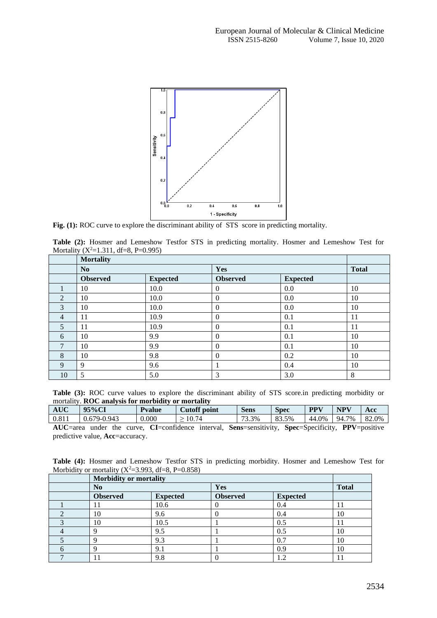

Fig. (1): ROC curve to explore the discriminant ability of STS score in predicting mortality.

| Table (2): Hosmer and Lemeshow Testfor STS in predicting mortality. Hosmer and Lemeshow Test for |  |  |  |  |  |
|--------------------------------------------------------------------------------------------------|--|--|--|--|--|
| Mortality $(X^2=1.311, df=8, P=0.995)$                                                           |  |  |  |  |  |

|                | <b>Mortality</b> |                 |                 |                 |    |
|----------------|------------------|-----------------|-----------------|-----------------|----|
|                | N <sub>0</sub>   |                 | Yes             | <b>Total</b>    |    |
|                | <b>Observed</b>  | <b>Expected</b> | <b>Observed</b> | <b>Expected</b> |    |
|                | 10               | 10.0            | 0               | 0.0             | 10 |
| 2              | 10               | 10.0            | 0               | 0.0             | 10 |
| 3              | 10               | 10.0            | $\theta$        | 0.0             | 10 |
| $\overline{4}$ | 11               | 10.9            | 0               | 0.1             | 11 |
| 5              | 11               | 10.9            | 0               | 0.1             | 11 |
| 6              | 10               | 9.9             | 0               | 0.1             | 10 |
| 7              | 10               | 9.9             | 0               | 0.1             | 10 |
| 8              | 10               | 9.8             | 0               | 0.2             | 10 |
| 9              | 9                | 9.6             |                 | 0.4             | 10 |
| 10             | 5                | 5.0             | 3               | 3.0             | 8  |

**Table (3):** ROC curve values to explore the discriminant ability of STS score.in predicting morbidity or mortality. **ROC analysis for morbidity or mortality**

| AUC   | 95%CI              | <b>Pvalue</b> | Cutoff point | Sens                                | Spec  | <b>PPV</b> | <b>NPV</b> | Acc   |
|-------|--------------------|---------------|--------------|-------------------------------------|-------|------------|------------|-------|
| 0.811 | 0.943<br>0.679-0.9 | 0.000         | 10.74        | $3.3\%$<br>$\overline{\phantom{a}}$ | 83.5% | 44.0%      | 7%<br>94.7 | 82.0% |

**AUC**=area under the curve, **CI**=confidence interval, **Sens**=sensitivity, **Spec**=Specificity, **PPV**=positive predictive value, **Acc**=accuracy.

**Table (4):** Hosmer and Lemeshow Testfor STS in predicting morbidity. Hosmer and Lemeshow Test for Morbidity or mortality  $(X^2=3.993, df=8, P=0.858)$ 

| Morbidity or mortality |                 |                 |                 |    |  |  |
|------------------------|-----------------|-----------------|-----------------|----|--|--|
| N <sub>0</sub>         |                 | Yes             | <b>Total</b>    |    |  |  |
| <b>Observed</b>        | <b>Expected</b> | <b>Observed</b> | <b>Expected</b> |    |  |  |
|                        | 10.6            |                 | 0.4             |    |  |  |
| 10                     | 9.6             |                 | 0.4             | 10 |  |  |
| 10                     | 10.5            |                 | 0.5             | 11 |  |  |
| O                      | 9.5             |                 | 0.5             | 10 |  |  |
|                        | 9.3             |                 | 0.7             | 10 |  |  |
| Q                      | 9.1             |                 | 0.9             | 10 |  |  |
|                        | 9.8             |                 | 1.2             |    |  |  |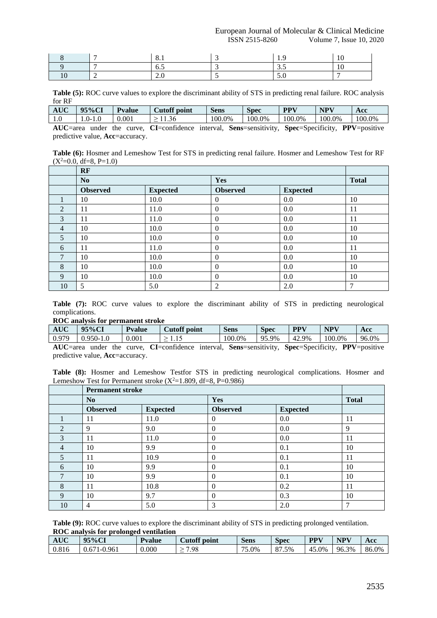European Journal of Molecular & Clinical Medicine ISSN 2515-8260 Volume 7, Issue 10, 2020

|   | <u>v. 1</u> |              |  |
|---|-------------|--------------|--|
|   | ◡…          | ້∙∙          |  |
| - | $\sim$      | $\sim \cdot$ |  |

**Table (5):** ROC curve values to explore the discriminant ability of STS in predicting renal failure. ROC analysis for RF

| <b>AUC</b> | 95%CI                                         | <b>Pyalue</b>                    | Cutoff point | Sens    | Spec                                                                                       | <b>PPV</b>                                 | <b>NPV</b> | Acc                        |
|------------|-----------------------------------------------|----------------------------------|--------------|---------|--------------------------------------------------------------------------------------------|--------------------------------------------|------------|----------------------------|
| 1.U        | U- '                                          | 0.001                            | 1.36         | 100.0%  | 100.0%                                                                                     | $0.0\%$                                    | 100.0%     | 100.0%                     |
| ATIC       | $\sim$ $\sim$ $\sim$ $\sim$<br>$ \sim$ $\sim$ | $\sim$ $\sim$ $\sim$<br>$+1 - 1$ | $\alpha$     | $-1000$ | $\mathbf{C}_{\alpha m}$ $\alpha$ $\alpha$ $\beta$ $\beta$ $\beta$ $\beta$ $\beta$ $\gamma$ | $\mathbf{v}$ non- $\mathbf{v}$ non-tracter |            | $\text{DDV}_{\text{meas}}$ |

**AUC**=area under the curve, **CI**=confidence interval, **Sens**=sensitivity, **Spec**=Specificity, **PPV**=positive predictive value, **Acc**=accuracy.

**Table (6):** Hosmer and Lemeshow Test for STS in predicting renal failure. Hosmer and Lemeshow Test for RF  $(X^2=0.0, df=8, P=1.0)$ 

|                | <b>RF</b>       |                 |                 |                 |               |
|----------------|-----------------|-----------------|-----------------|-----------------|---------------|
|                | N <sub>0</sub>  |                 | Yes             |                 | <b>Total</b>  |
|                | <b>Observed</b> | <b>Expected</b> | <b>Observed</b> | <b>Expected</b> |               |
|                | 10              | 10.0            | $\overline{0}$  | 0.0             | 10            |
| $\overline{2}$ | 11              | 11.0            | $\Omega$        | 0.0             | 11            |
| 3              | 11              | 11.0            | $\Omega$        | 0.0             | 11            |
| $\overline{4}$ | 10              | 10.0            | $\Omega$        | 0.0             | 10            |
| 5              | 10              | 10.0            | $\Omega$        | 0.0             | 10            |
| 6              | 11              | 11.0            | $\theta$        | 0.0             | 11            |
| 7              | 10              | 10.0            | $\overline{0}$  | 0.0             | 10            |
| 8              | 10              | 10.0            | $\theta$        | 0.0             | 10            |
| 9              | 10              | 10.0            | $\Omega$        | 0.0             | 10            |
| 10             | 5               | 5.0             | 2               | 2.0             | $\mathcal{I}$ |

**Table (7):** ROC curve values to explore the discriminant ability of STS in predicting neurological complications.

## **ROC analysis for permanent stroke**

| <b>AUC</b> | $95\%$ C      | $\mathbf{r}$<br>Pvalue | Cutoff point | $\sim$<br>Sens | Spec                    | <b>PPV</b>    | NPV    | Acc   |
|------------|---------------|------------------------|--------------|----------------|-------------------------|---------------|--------|-------|
| 0.979      | $950-$<br>1.0 | 0.001                  | .<br>-       | 100.0%         | 95.9%<br>Q <sub>5</sub> | $-42.5$<br>9% | 100.0% | 96.0% |

**AUC**=area under the curve, **CI**=confidence interval, **Sens**=sensitivity, **Spec**=Specificity, **PPV**=positive predictive value, **Acc**=accuracy.

**Table (8):** Hosmer and Lemeshow Testfor STS in predicting neurological complications. Hosmer and Lemeshow Test for Permanent stroke  $(X^2=1.809, df=8, P=0.986)$ 

|                | <b>Permanent stroke</b> |                 |                 |                 |    |
|----------------|-------------------------|-----------------|-----------------|-----------------|----|
|                | N <sub>0</sub>          |                 | Yes             | <b>Total</b>    |    |
|                | <b>Observed</b>         | <b>Expected</b> | <b>Observed</b> | <b>Expected</b> |    |
|                | 11                      | 11.0            | $\theta$        | 0.0             | 11 |
| $\overline{2}$ | 9                       | 9.0             | $\Omega$        | 0.0             | 9  |
| 3              | 11                      | 11.0            | $\theta$        | 0.0             | 11 |
| 4              | 10                      | 9.9             | $\theta$        | 0.1             | 10 |
| 5              | 11                      | 10.9            | $\Omega$        | 0.1             | 11 |
| 6              | 10                      | 9.9             | $\theta$        | 0.1             | 10 |
| 7              | 10                      | 9.9             | $\theta$        | 0.1             | 10 |
| 8              | 11                      | 10.8            | $\theta$        | 0.2             | 11 |
| 9              | 10                      | 9.7             | $\Omega$        | 0.3             | 10 |
| 10             | 4                       | 5.0             | 3               | 2.0             | ⇁  |

**Table (9):** ROC curve values to explore the discriminant ability of STS in predicting prolonged ventilation. **ROC analysis for prolonged ventilation**

| <b>AUC</b> | 95%CI                      | Pvalue | <b>Cutoff point</b> | <b>Sens</b> | $\sim$<br>Spec | <b>PPV</b> | <b>NPV</b>  | Acc   |
|------------|----------------------------|--------|---------------------|-------------|----------------|------------|-------------|-------|
| 0.816      | '1-0.961<br>$0.67^{\circ}$ | 0.000  | 7.98<br>_           | 75<br>5.0%  | $1.5\%$<br>87  | 45.0%      | 3%<br>96.5. | 86.0% |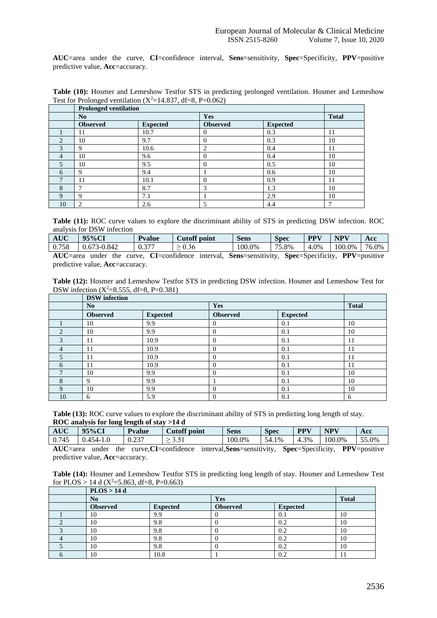**AUC**=area under the curve, **CI**=confidence interval, **Sens**=sensitivity, **Spec**=Specificity, **PPV**=positive predictive value, **Acc**=accuracy.

|                | <b>Prolonged ventilation</b> |                 |                 |                 |                          |  |
|----------------|------------------------------|-----------------|-----------------|-----------------|--------------------------|--|
|                | No.                          |                 | Yes             |                 | <b>Total</b>             |  |
|                | <b>Observed</b>              | <b>Expected</b> | <b>Observed</b> | <b>Expected</b> |                          |  |
|                | 11                           | 10.7            | $\Omega$        | 0.3             | 11                       |  |
| $\mathfrak{D}$ | 10                           | 9.7             | $\overline{0}$  | 0.3             | 10                       |  |
| 3              | Q                            | 10.6            | ◠               | 0.4             | 11                       |  |
| $\overline{4}$ | 10                           | 9.6             | $\Omega$        | 0.4             | 10                       |  |
| 5              | 10                           | 9.5             | $\Omega$        | 0.5             | 10                       |  |
| 6              | Q                            | 9.4             |                 | 0.6             | 10                       |  |
|                | 11                           | 10.1            | $\overline{0}$  | 0.9             | 11                       |  |
| 8              |                              | 8.7             | 3               | 1.3             | 10                       |  |
| $\mathbf Q$    | Q                            | 7.1             |                 | 2.9             | 10                       |  |
| 10             | 2                            | 2.6             |                 | 4.4             | $\overline{\phantom{0}}$ |  |

Table (10): Hosmer and Lemeshow Testfor STS in predicting prolonged ventilation. Hosmer and Lemeshow Test for Prolonged ventilation  $(X^2=14.837, df=8, P=0.062)$ 

**Table (11):** ROC curve values to explore the discriminant ability of STS in predicting DSW infection. ROC analysis for DSW infection

| <b>AUC</b>                                                                                         | $95\%$ CI        | <b>Pyalue</b> | Cutoff point | <b>Sens</b> | <b>Spec</b> | <b>PPV</b> | <b>NPV</b>        | Acc |
|----------------------------------------------------------------------------------------------------|------------------|---------------|--------------|-------------|-------------|------------|-------------------|-----|
| 0.758                                                                                              | $10.673 - 0.842$ | 0.377         | > 0.36       | 100.0%      | 75.8%       | 4.0%       | $100.0\%$   76.0% |     |
| AUC=area under the curve, CI=confidence interval, Sens=sensitivity, Spec=Specificity, PPV=positive |                  |               |              |             |             |            |                   |     |

predictive value, **Acc**=accuracy.

| Table (12): Hosmer and Lemeshow Testfor STS in predicting DSW infection. Hosmer and Lemeshow Test for |  |
|-------------------------------------------------------------------------------------------------------|--|
| DSW infection $(X^2=8.555, df=8, P=0.381)$                                                            |  |

|              | <b>DSW</b> infection |                 |                 |                 |              |
|--------------|----------------------|-----------------|-----------------|-----------------|--------------|
|              | N <sub>0</sub>       |                 | Yes             |                 | <b>Total</b> |
|              | <b>Observed</b>      | <b>Expected</b> | <b>Observed</b> | <b>Expected</b> |              |
|              | 10                   | 9.9             | $\Omega$        | 0.1             | 10           |
| $\bigcap$    | 10                   | 9.9             | $\Omega$        | 0.1             | 10           |
| 3            | 11                   | 10.9            | $\theta$        | 0.1             | 11           |
| 4            | 11                   | 10.9            | $\Omega$        | 0.1             | 11           |
| 5            | 11                   | 10.9            | $\Omega$        | 0.1             | 11           |
| 6            | 11                   | 10.9            | $\Omega$        | 0.1             | 11           |
| $\mathbf{r}$ | 10                   | 9.9             | $\Omega$        | 0.1             | 10           |
| 8            | 9                    | 9.9             |                 | 0.1             | 10           |
| 9            | 10                   | 9.9             | $\Omega$        | 0.1             | 10           |
| 10           | 6                    | 5.9             | $\Omega$        | 0.1             | 6            |

**Table (13):** ROC curve values to explore the discriminant ability of STS in predicting long length of stay. **ROC analysis for long length of stay >14 d**

| <b>AUC</b> | $35\%$ C <sub>1</sub> | <b>P</b> value    | -<br>Cutoff<br>point | <b>Sens</b> | $\sim$<br>Spec | <b>PPV</b>     | $\mathbf{N}$ $\mathbf{P}^{\mathbf{v}}$ | Acc   |
|------------|-----------------------|-------------------|----------------------|-------------|----------------|----------------|----------------------------------------|-------|
| 0.745      | - ۸<br>1.1            | $\sim$<br>ບ ∠ ⊃ ≀ | 1 ن.ر                | 100.0%      | 54<br>54.1%    | $3\%$<br>. ب 4 | 100.0%                                 | 55.0% |

**AUC**=area under the curve,**CI**=confidence interval,**Sens**=sensitivity, **Spec**=Specificity, **PPV**=positive predictive value, **Acc**=accuracy.

**Table (14):** Hosmer and Lemeshow Testfor STS in predicting long length of stay. Hosmer and Lemeshow Test for PLOS > 14 d ( $X^2$ =5.863, df=8, P=0.663)

| PLOS > 14 d     |                 |                 |                 |              |
|-----------------|-----------------|-----------------|-----------------|--------------|
| N <sub>0</sub>  |                 | Yes             |                 | <b>Total</b> |
| <b>Observed</b> | <b>Expected</b> | <b>Observed</b> | <b>Expected</b> |              |
| 10              | 9.9             |                 | 0.1             | 10           |
| 10              | 9.8             |                 | 0.2             | 10           |
| 10              | 9.8             | U               | 0.2             | 10           |
| 10              | 9.8             |                 | 0.2             | 10           |
| 10              | 9.8             |                 | 0.2             | 10           |
| 10              | 10.8            |                 |                 |              |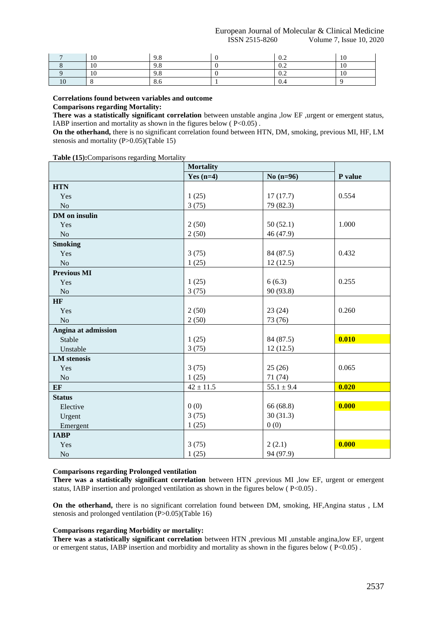European Journal of Molecular & Clinical Medicine ISSN 2515-8260 Volume 7, Issue 10, 2020

| £   | ن ∕                      | $\mathbf{v} \cdot \mathbf{v}$ | ±V. |
|-----|--------------------------|-------------------------------|-----|
| LV. | ن ∕                      | $\mathbf{v} \cdot \mathbf{v}$ | ⊥ ∪ |
|     | $\overline{\phantom{a}}$ | $\mathbf{u} \cdot \mathbf{v}$ | . . |
|     | v.v                      | v.                            |     |

**Correlations found between variables and outcome**

## **Comparisons regarding Mortality:**

**There was a statistically significant correlation** between unstable angina ,low EF ,urgent or emergent status, IABP insertion and mortality as shown in the figures below ( $P<0.05$ ).

**On the otherhand,** there is no significant correlation found between HTN, DM, smoking, previous MI, HF, LM stenosis and mortality (P>0.05)(Table 15)

|  | Table (15): Comparisons regarding Mortality |  |
|--|---------------------------------------------|--|
|  |                                             |  |

|                     | <b>Mortality</b> |                |         |
|---------------------|------------------|----------------|---------|
|                     | Yes $(n=4)$      | No $(n=96)$    | P value |
| <b>HTN</b>          |                  |                |         |
| Yes                 | 1(25)            | 17(17.7)       | 0.554   |
| N <sub>o</sub>      | 3(75)            | 79 (82.3)      |         |
| DM on insulin       |                  |                |         |
| Yes                 | 2(50)            | 50(52.1)       | 1.000   |
| N <sub>o</sub>      | 2(50)            | 46 (47.9)      |         |
| <b>Smoking</b>      |                  |                |         |
| Yes                 | 3(75)            | 84 (87.5)      | 0.432   |
| N <sub>o</sub>      | 1(25)            | 12(12.5)       |         |
| <b>Previous MI</b>  |                  |                |         |
| Yes                 | 1(25)            | 6(6.3)         | 0.255   |
| N <sub>o</sub>      | 3(75)            | 90 (93.8)      |         |
| HF                  |                  |                |         |
| Yes                 | 2(50)            | 23(24)         | 0.260   |
| No                  | 2(50)            | 73 (76)        |         |
| Angina at admission |                  |                |         |
| Stable              | 1(25)            | 84 (87.5)      | 0.010   |
| Unstable            | 3(75)            | 12(12.5)       |         |
| <b>LM</b> stenosis  |                  |                |         |
| Yes                 | 3(75)            | 25(26)         | 0.065   |
| No                  | 1(25)            | 71(74)         |         |
| EF                  | $42 \pm 11.5$    | $55.1 \pm 9.4$ | 0.020   |
| <b>Status</b>       |                  |                |         |
| Elective            | 0(0)             | 66 (68.8)      | 0.000   |
| Urgent              | 3(75)            | 30(31.3)       |         |
| Emergent            | 1(25)            | 0(0)           |         |
| <b>IABP</b>         |                  |                |         |
| Yes                 | 3(75)            | 2(2.1)         | 0.000   |
| $\rm No$            | 1(25)            | 94 (97.9)      |         |

## **Comparisons regarding Prolonged ventilation**

**There was a statistically significant correlation** between HTN ,previous MI ,low EF, urgent or emergent status, IABP insertion and prolonged ventilation as shown in the figures below  $(P<0.05)$ .

**On the otherhand,** there is no significant correlation found between DM, smoking, HF,Angina status , LM stenosis and prolonged ventilation (P>0.05)(Table 16)

## **Comparisons regarding Morbidity or mortality:**

**There was a statistically significant correlation** between HTN ,previous MI ,unstable angina,low EF, urgent or emergent status, IABP insertion and morbidity and mortality as shown in the figures below ( $P<0.05$ ).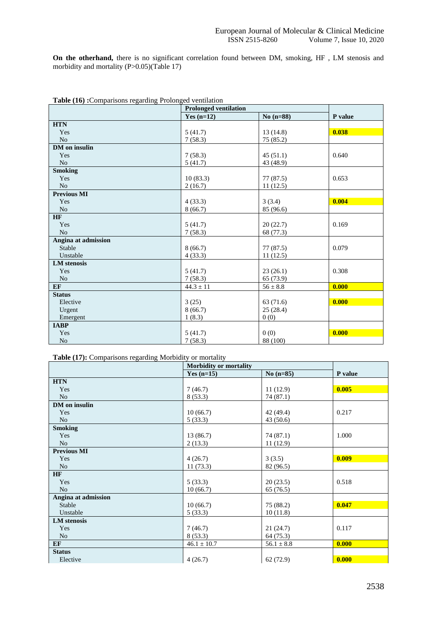**On the otherhand,** there is no significant correlation found between DM, smoking, HF , LM stenosis and morbidity and mortality (P>0.05)(Table 17)

| <b>rapic</b> (10) : comparisons regarding 1 roionged ventriation | <b>Prolonged ventilation</b> |              |         |
|------------------------------------------------------------------|------------------------------|--------------|---------|
|                                                                  | Yes $(n=12)$                 | No $(n=88)$  | P value |
| <b>HTN</b>                                                       |                              |              |         |
| Yes                                                              | 5(41.7)                      | 13(14.8)     | 0.038   |
| N <sub>o</sub>                                                   | 7(58.3)                      | 75 (85.2)    |         |
| <b>DM</b> on insulin                                             |                              |              |         |
| Yes                                                              | 7(58.3)                      | 45(51.1)     | 0.640   |
| N <sub>o</sub>                                                   | 5(41.7)                      | 43 (48.9)    |         |
| <b>Smoking</b>                                                   |                              |              |         |
| Yes                                                              | 10(83.3)                     | 77(87.5)     | 0.653   |
| No                                                               | 2(16.7)                      | 11(12.5)     |         |
| <b>Previous MI</b>                                               |                              |              |         |
| Yes                                                              | 4(33.3)                      | 3(3.4)       | 0.004   |
| No                                                               | 8(66.7)                      | 85 (96.6)    |         |
| HF                                                               |                              |              |         |
| Yes                                                              | 5(41.7)                      | 20(22.7)     | 0.169   |
| N <sub>o</sub>                                                   | 7(58.3)                      | 68 (77.3)    |         |
| Angina at admission                                              |                              |              |         |
| Stable                                                           | 8(66.7)                      | 77(87.5)     | 0.079   |
| Unstable                                                         | 4(33.3)                      | 11(12.5)     |         |
| <b>LM</b> stenosis                                               |                              |              |         |
| Yes                                                              | 5(41.7)                      | 23(26.1)     | 0.308   |
| N <sub>o</sub>                                                   | 7(58.3)                      | 65 (73.9)    |         |
| EF                                                               | $44.3 \pm 11$                | $56 \pm 8.8$ | 0.000   |
| <b>Status</b>                                                    |                              |              |         |
| Elective                                                         | 3(25)                        | 63 (71.6)    | 0.000   |
| Urgent                                                           | 8(66.7)                      | 25(28.4)     |         |
| Emergent                                                         | 1(8.3)                       | 0(0)         |         |
| <b>IABP</b>                                                      |                              |              |         |
| Yes                                                              | 5(41.7)                      | 0(0)         | 0.000   |
| No                                                               | 7(58.3)                      | 88 (100)     |         |

|  |  |  | Table (16): Comparisons regarding Prolonged ventilation |
|--|--|--|---------------------------------------------------------|
|  |  |  |                                                         |

## **Table (17):** Comparisons regarding Morbidity or mortality

|                     | Morbidity or mortality |                |         |
|---------------------|------------------------|----------------|---------|
|                     | Yes $(n=15)$           | $No(n=85)$     | P value |
| <b>HTN</b>          |                        |                |         |
| Yes                 | 7(46.7)                | 11(12.9)       | 0.005   |
| N <sub>o</sub>      | 8(53.3)                | 74 (87.1)      |         |
| DM on insulin       |                        |                |         |
| Yes                 | 10(66.7)               | 42 (49.4)      | 0.217   |
| N <sub>o</sub>      | 5(33.3)                | 43 (50.6)      |         |
| <b>Smoking</b>      |                        |                |         |
| Yes                 | 13 (86.7)              | 74 (87.1)      | 1.000   |
| N <sub>o</sub>      | 2(13.3)                | 11(12.9)       |         |
| <b>Previous MI</b>  |                        |                |         |
| Yes                 | 4(26.7)                | 3(3.5)         | 0.009   |
| N <sub>o</sub>      | 11(73.3)               | 82 (96.5)      |         |
| <b>HF</b>           |                        |                |         |
| Yes                 | 5(33.3)                | 20(23.5)       | 0.518   |
| N <sub>o</sub>      | 10(66.7)               | 65 (76.5)      |         |
| Angina at admission |                        |                |         |
| Stable              | 10(66.7)               | 75 (88.2)      | 0.047   |
| Unstable            | 5(33.3)                | 10(11.8)       |         |
| <b>LM</b> stenosis  |                        |                |         |
| Yes                 | 7(46.7)                | 21(24.7)       | 0.117   |
| N <sub>o</sub>      | 8(53.3)                | 64 (75.3)      |         |
| EF                  | $46.1 \pm 10.7$        | $56.1 \pm 8.8$ | 0.000   |
| <b>Status</b>       |                        |                |         |
| Elective            | 4(26.7)                | 62(72.9)       | 0.000   |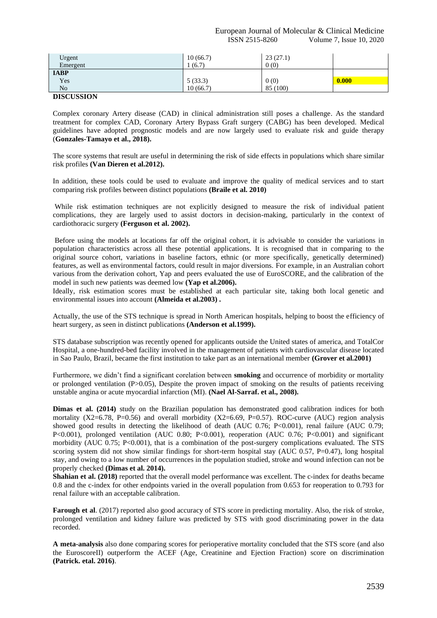| Urgent<br>Emergent | 10(66.7)<br>1(6.7) | 23(27.1)<br>0(0) |       |
|--------------------|--------------------|------------------|-------|
| <b>IABP</b>        |                    |                  |       |
| Yes                | 5(33.3)            | 0(0)             | 0.000 |
| N <sub>o</sub>     | 10(66.7)           | 85 (100)         |       |

#### **DISCUSSION**

Complex coronary Artery disease (CAD) in clinical administration still poses a challenge. As the standard treatment for complex CAD, Coronary Artery Bypass Graft surgery (CABG) has been developed. Medical guidelines have adopted prognostic models and are now largely used to evaluate risk and guide therapy (**Gonzales-Tamayo et al., 2018).**

The score systems that result are useful in determining the risk of side effects in populations which share similar risk profiles **(Van Dieren et al.2012).**

In addition, these tools could be used to evaluate and improve the quality of medical services and to start comparing risk profiles between distinct populations **(Braile et al. 2010)**

While risk estimation techniques are not explicitly designed to measure the risk of individual patient complications, they are largely used to assist doctors in decision-making, particularly in the context of cardiothoracic surgery **(Ferguson et al. 2002).**

Before using the models at locations far off the original cohort, it is advisable to consider the variations in population characteristics across all these potential applications. It is recognised that in comparing to the original source cohort, variations in baseline factors, ethnic (or more specifically, genetically determined) features, as well as environmental factors, could result in major diversions. For example, in an Australian cohort various from the derivation cohort, Yap and peers evaluated the use of EuroSCORE, and the calibration of the model in such new patients was deemed low **(Yap et al.2006).**

Ideally, risk estimation scores must be established at each particular site, taking both local genetic and environmental issues into account **(Almeida et al.2003) .**

Actually, the use of the STS technique is spread in North American hospitals, helping to boost the efficiency of heart surgery, as seen in distinct publications **(Anderson et al.1999).**

STS database subscription was recently opened for applicants outside the United states of america, and TotalCor Hospital, a one-hundred-bed facility involved in the management of patients with cardiovascular disease located in Sao Paulo, Brazil, became the first institution to take part as an international member **(Grover et al.2001)**

Furthermore, we didn't find a significant corelation between **smoking** and occurrence of morbidity or mortality or prolonged ventilation (P>0.05), Despite the proven impact of smoking on the results of patients receiving unstable angina or acute myocardial infarction (MI). **(Nael Al-Sarraf. et al., 2008).**

**Dimas et al. (2014)** study on the Brazilian population has demonstrated good calibration indices for both mortality (X2=6.78, P=0.56) and overall morbidity (X2=6.69, P=0.57). ROC-curve (AUC) region analysis showed good results in detecting the likelihood of death (AUC 0.76; P<0.001), renal failure (AUC 0.79; P<0.001), prolonged ventilation (AUC 0.80; P<0.001), reoperation (AUC 0.76; P<0.001) and significant morbidity (AUC 0.75; P<0.001), that is a combination of the post-surgery complications evaluated. The STS scoring system did not show similar findings for short-term hospital stay (AUC 0.57, P=0.47), long hospital stay, and owing to a low number of occurrences in the population studied, stroke and wound infection can not be properly checked **(Dimas et al. 2014).** 

**Shahian et al. (2018)** reported that the overall model performance was excellent. The c-index for deaths became 0.8 and the c-index for other endpoints varied in the overall population from 0.653 for reoperation to 0.793 for renal failure with an acceptable calibration.

**Farough et al**. (2017) reported also good accuracy of STS score in predicting mortality. Also, the risk of stroke, prolonged ventilation and kidney failure was predicted by STS with good discriminating power in the data recorded.

**A meta-analysis** also done comparing scores for perioperative mortality concluded that the STS score (and also the EuroscoreII) outperform the ACEF (Age, Creatinine and Ejection Fraction) score on discrimination **(Patrick. etal. 2016)**.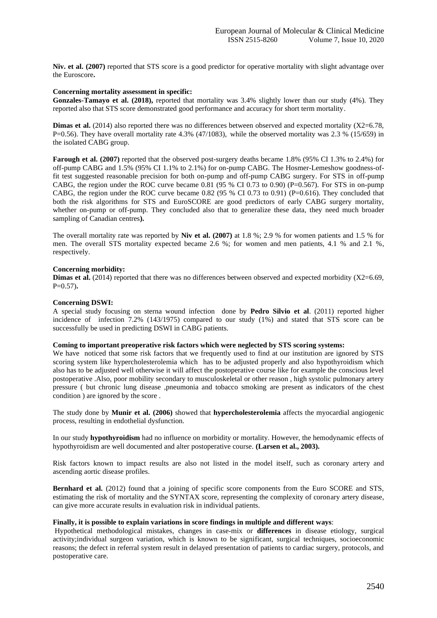**Niv. et al. (2007)** reported that STS score is a good predictor for operative mortality with slight advantage over the Euroscore**.**

#### **Concerning mortality assessment in specific:**

**Gonzales-Tamayo et al. (2018),** reported that mortality was 3.4% slightly lower than our study (4%). They reported also that STS score demonstrated good performance and accuracy for short term mortality.

**Dimas et al.** (2014) also reported there was no differences between observed and expected mortality (X2=6.78, P=0.56). They have overall mortality rate  $4.3\%$  (47/1083), while the observed mortality was 2.3 % (15/659) in the isolated CABG group.

**Farough et al. (2007)** reported that the observed post-surgery deaths became 1.8% (95% CI 1.3% to 2.4%) for off-pump CABG and 1.5% (95% CI 1.1% to 2.1%) for on-pump CABG. The Hosmer-Lemeshow goodness-offit test suggested reasonable precision for both on-pump and off-pump CABG surgery. For STS in off-pump CABG, the region under the ROC curve became 0.81 (95 % CI 0.73 to 0.90) (P=0.567). For STS in on-pump CABG, the region under the ROC curve became  $0.82$  (95 % CI 0.73 to 0.91) (P=0.616). They concluded that both the risk algorithms for STS and EuroSCORE are good predictors of early CABG surgery mortality, whether on-pump or off-pump. They concluded also that to generalize these data, they need much broader sampling of Canadian centres**).**

The overall mortality rate was reported by **Niv et al. (2007)** at 1.8 %; 2.9 % for women patients and 1.5 % for men. The overall STS mortality expected became 2.6 %; for women and men patients, 4.1 % and 2.1 %, respectively.

## **Concerning morbidity:**

**Dimas et al.** (2014) reported that there was no differences between observed and expected morbidity (X2=6.69, P=0.57)**.**

## **Concerning DSWI:**

A special study focusing on sterna wound infection done by **Pedro Silvio et al**. (2011) reported higher incidence of infection 7.2% (143/1975) compared to our study (1%) and stated that STS score can be successfully be used in predicting DSWI in CABG patients.

## **Coming to important preoperative risk factors which were neglected by STS scoring systems:**

We have noticed that some risk factors that we frequently used to find at our institution are ignored by STS scoring system like hypercholesterolemia which has to be adjusted properly and also hypothyroidism which also has to be adjusted well otherwise it will affect the postoperative course like for example the conscious level postoperative .Also, poor mobility secondary to musculoskeletal or other reason , high systolic pulmonary artery pressure ( but chronic lung disease ,pneumonia and tobacco smoking are present as indicators of the chest condition ) are ignored by the score .

The study done by **Munir et al. (2006)** showed that **hypercholesterolemia** affects the myocardial angiogenic process, resulting in endothelial dysfunction.

In our study **hypothyroidism** had no influence on morbidity or mortality. However, the hemodynamic effects of hypothyroidism are well documented and alter postoperative course. **(Larsen et al., 2003).**

Risk factors known to impact results are also not listed in the model itself, such as coronary artery and ascending aortic disease profiles.

**Bernhard et al.** (2012) found that a joining of specific score components from the Euro SCORE and STS, estimating the risk of mortality and the SYNTAX score, representing the complexity of coronary artery disease, can give more accurate results in evaluation risk in individual patients.

#### **Finally, it is possible to explain variations in score findings in multiple and different ways**:

Hypothetical methodological mistakes, changes in case-mix or **differences** in disease etiology, surgical activity;individual surgeon variation, which is known to be significant, surgical techniques, socioeconomic reasons; the defect in referral system result in delayed presentation of patients to cardiac surgery, protocols, and postoperative care.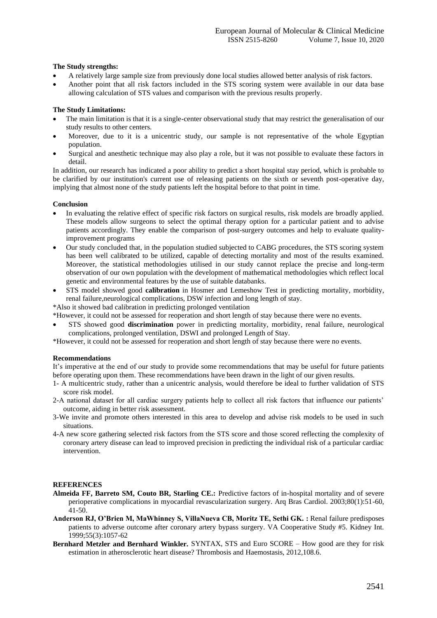## **The Study strengths:**

- A relatively large sample size from previously done local studies allowed better analysis of risk factors.
- Another point that all risk factors included in the STS scoring system were available in our data base allowing calculation of STS values and comparison with the previous results properly.

## **The Study Limitations:**

- The main limitation is that it is a single-center observational study that may restrict the generalisation of our study results to other centers.
- Moreover, due to it is a unicentric study, our sample is not representative of the whole Egyptian population.
- Surgical and anesthetic technique may also play a role, but it was not possible to evaluate these factors in detail.

In addition, our research has indicated a poor ability to predict a short hospital stay period, which is probable to be clarified by our institution's current use of releasing patients on the sixth or seventh post-operative day, implying that almost none of the study patients left the hospital before to that point in time.

### **Conclusion**

- In evaluating the relative effect of specific risk factors on surgical results, risk models are broadly applied. These models allow surgeons to select the optimal therapy option for a particular patient and to advise patients accordingly. They enable the comparison of post-surgery outcomes and help to evaluate qualityimprovement programs
- Our study concluded that, in the population studied subjected to CABG procedures, the STS scoring system has been well calibrated to be utilized, capable of detecting mortality and most of the results examined. Moreover, the statistical methodologies utilised in our study cannot replace the precise and long-term observation of our own population with the development of mathematical methodologies which reflect local genetic and environmental features by the use of suitable databanks.
- STS model showed good **calibration** in Hosmer and Lemeshow Test in predicting mortality, morbidity, renal failure,neurological complications, DSW infection and long length of stay.

\*Also it showed bad calibration in predicting prolonged ventilation

\*However, it could not be assessed for reoperation and short length of stay because there were no events.

• STS showed good **discrimination** power in predicting mortality, morbidity, renal failure, neurological complications, prolonged ventilation, DSWI and prolonged Length of Stay.

\*However, it could not be assessed for reoperation and short length of stay because there were no events.

#### **Recommendations**

It's imperative at the end of our study to provide some recommendations that may be useful for future patients before operating upon them. These recommendations have been drawn in the light of our given results.

- 1- A multicentric study, rather than a unicentric analysis, would therefore be ideal to further validation of STS score risk model.
- 2-A national dataset for all cardiac surgery patients help to collect all risk factors that influence our patients' outcome, aiding in better risk assessment.
- 3-We invite and promote others interested in this area to develop and advise risk models to be used in such situations.
- 4-A new score gathering selected risk factors from the STS score and those scored reflecting the complexity of coronary artery disease can lead to improved precision in predicting the individual risk of a particular cardiac intervention.

#### **REFERENCES**

- **Almeida FF, Barreto SM, Couto BR, Starling CE.:** Predictive factors of in-hospital mortality and of severe perioperative complications in myocardial revascularization surgery. Arq Bras Cardiol. 2003;80(1):51-60, 41-50.
- **Anderson RJ, O'Brien M, MaWhinney S, VillaNueva CB, Moritz TE, Sethi GK. :** Renal failure predisposes patients to adverse outcome after coronary artery bypass surgery. VA Cooperative Study #5. Kidney Int. 1999;55(3):1057-62
- **Bernhard Metzler and Bernhard Winkler.** SYNTAX, STS and Euro SCORE How good are they for risk estimation in atherosclerotic heart disease? Thrombosis and Haemostasis, 2012,108.6.